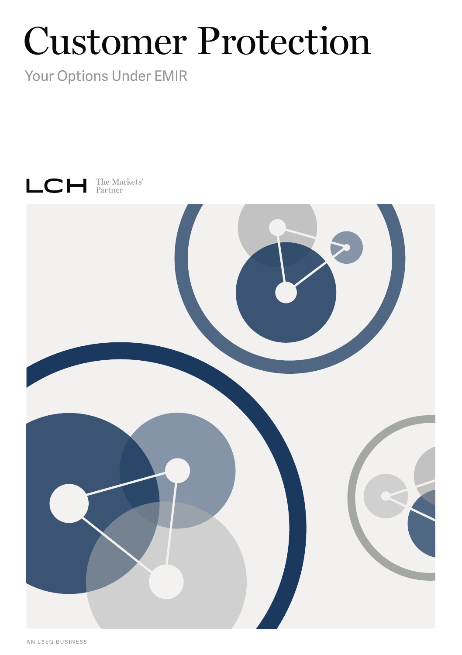# Customer Protection

Your Options Under EMIR

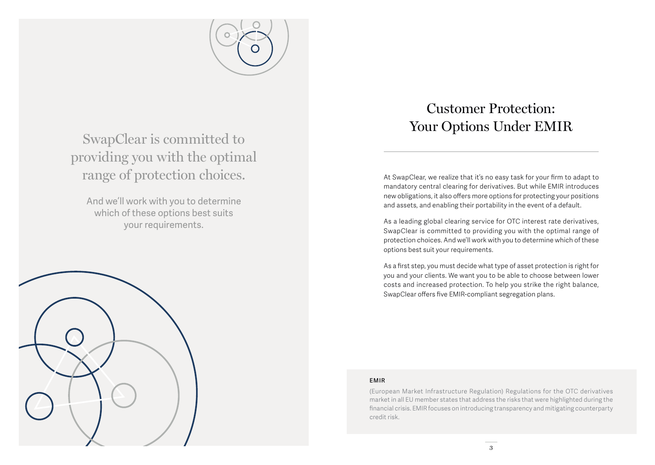

SwapClear is committed to providing you with the optimal range of protection choices.

And we'll work with you to determine which of these options best suits your requirements.

# Customer Protection: Your Options Under EMIR

At SwapClear, we realize that it's no easy task for your firm to adapt to mandatory central clearing for derivatives. But while EMIR introduces new obligations, it also offers more options for protecting your positions and assets, and enabling their portability in the event of a default.

As a leading global clearing service for OTC interest rate derivatives, SwapClear is committed to providing you with the optimal range of protection choices. And we'll work with you to determine which of these options best suit your requirements.

As a first step, you must decide what type of asset protection is right for you and your clients. We want you to be able to choose between lower costs and increased protection. To help you strike the right balance, SwapClear offers five EMIR-compliant segregation plans.

#### **EMIR**

(European Market Infrastructure Regulation) Regulations for the OTC derivatives market in all EU member states that address the risks that were highlighted during the financial crisis. EMIR focuses on introducing transparency and mitigating counterparty credit risk.

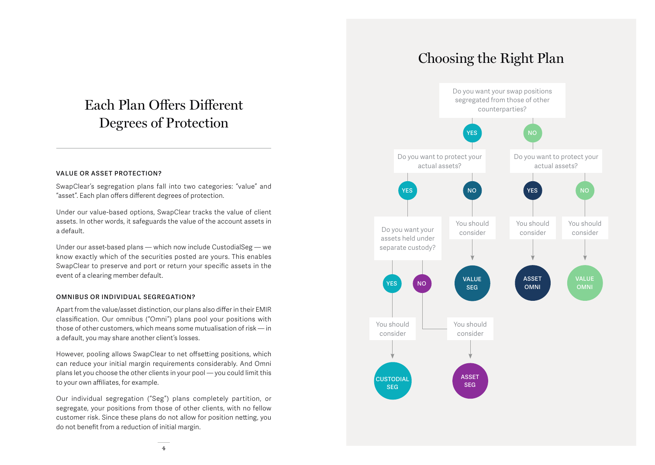# Each Plan Offers Different Degrees of Protection

#### **VALUE OR ASSET PROTECTION?**

SwapClear's segregation plans fall into two categories: "value" and "asset". Each plan offers different degrees of protection.

Under our value-based options, SwapClear tracks the value of client assets. In other words, it safeguards the value of the account assets in a default.

Under our asset-based plans — which now include CustodialSeg — we know exactly which of the securities posted are yours. This enables SwapClear to preserve and port or return your specific assets in the event of a clearing member default.

#### **OMNIBUS OR INDIVIDUAL SEGREGATION?**

Apart from the value/asset distinction, our plans also differ in their EMIR classification. Our omnibus ("Omni") plans pool your positions with those of other customers, which means some mutualisation of risk — in a default, you may share another client's losses.

However, pooling allows SwapClear to net offsetting positions, which can reduce your initial margin requirements considerably. And Omni plans let you choose the other clients in your pool — you could limit this to your own affiliates, for example.

Our individual segregation ("Seg") plans completely partition, or segregate, your positions from those of other clients, with no fellow customer risk. Since these plans do not allow for position netting, you do not benefit from a reduction of initial margin.

### Choosing the Right Plan

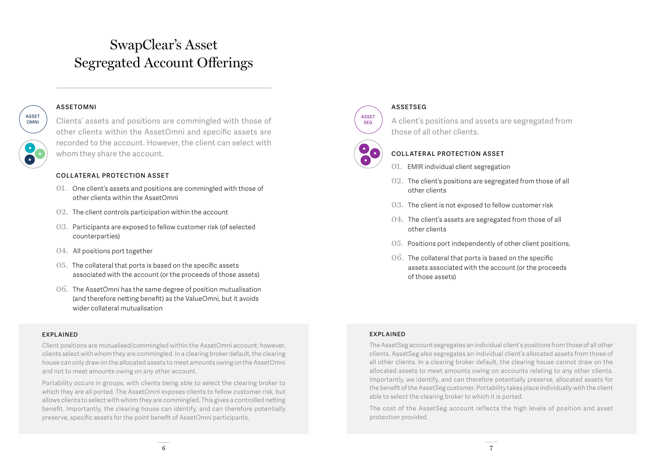### SwapClear's Asset Segregated Account Offerings

#### **ASSETOMNI**

**ASSET OMNI**

Clients' assets and positions are commingled with those of other clients within the AssetOmni and specific assets are recorded to the account. However, the client can select with whom they share the account.

#### **COLLATERAL PROTECTION ASSET**

- 01. One client's assets and positions are commingled with those of other clients within the AssetOmni
- 02. The client controls participation within the account
- 03. Participants are exposed to fellow customer risk (of selected counterparties)
- 04. All positions port together
- 05. The collateral that ports is based on the specific assets associated with the account (or the proceeds of those assets)
- 06. The AssetOmni has the same degree of position mutualisation (and therefore netting benefit) as the ValueOmni, but it avoids wider collateral mutualisation

#### **EXPLAINED**

Client positions are mutualised/commingled within the AssetOmni account; however, clients select with whom they are commingled. In a clearing broker default, the clearing house can only draw on the allocated assets to meet amounts owing on the AssetOmni and not to meet amounts owing on any other account.

Portability occurs in groups, with clients being able to select the clearing broker to which they are all ported. The AssetOmni exposes clients to fellow customer risk, but allows clients to select with whom they are commingled. This gives a controlled netting benefit. Importantly, the clearing house can identify, and can therefore potentially preserve, specific assets for the point benefit of AssetOmni participants.



#### **ASSETSEG**

A client's positions and assets are segregated from those of all other clients.



### **COLLATERAL PROTECTION ASSET**

- 01. EMIR individual client segregation
- 02. The client's positions are segregated from those of all other clients
- 03. The client is not exposed to fellow customer risk
- 04. The client's assets are segregated from those of all other clients
- 05. Positions port independently of other client positions.
- 06. The collateral that ports is based on the specific assets associated with the account (or the proceeds of those assets)

#### **EXPLAINED**

The AssetSeg account segregates an individual client's positions from those of all other clients. AssetSeg also segregates an individual client's allocated assets from those of all other clients. In a clearing broker default, the clearing house cannot draw on the allocated assets to meet amounts owing on accounts relating to any other clients. Importantly, we identify, and can therefore potentially preserve, allocated assets for the benefit of the AssetSeg customer. Portability takes place individually with the client able to select the clearing broker to which it is ported.

The cost of the AssetSeg account reflects the high levels of position and asset protection provided.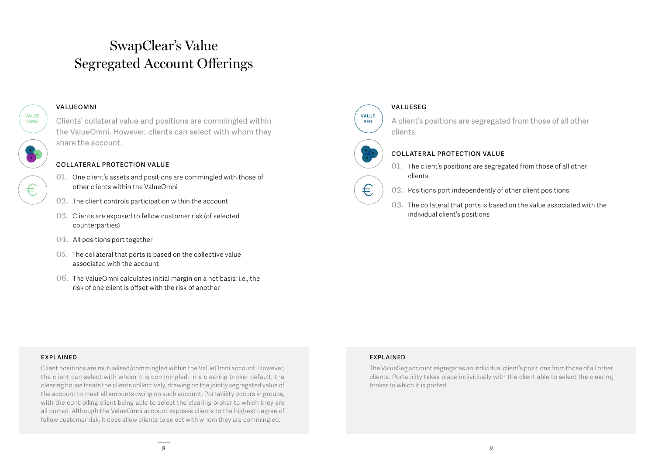# SwapClear's Value Segregated Account Offerings

#### **VALUEOMNI**

**VALUE OMNI**

€.

Clients' collateral value and positions are commingled within the ValueOmni. However, clients can select with whom they share the account.

### **COLLATERAL PROTECTION VALUE**

- 01. One client's assets and positions are commingled with those of other clients within the ValueOmni
- 02. The client controls participation within the account
- 03. Clients are exposed to fellow customer risk (of selected counterparties)
- 04. All positions port together
- 05. The collateral that ports is based on the collective value associated with the account
- 06. The ValueOmni calculates initial margin on a net basis; i.e., the risk of one client is offset with the risk of another



€

#### **VALUESEG**

A client's positions are segregated from those of all other clients.



### **COLLATERAL PROTECTION VALUE**

- 01. The client's positions are segregated from those of all other clients
- 02. Positions port independently of other client positions
- 03. The collateral that ports is based on the value associated with the individual client's positions

#### **E XPL AINED**

Client positions are mutualised/commingled within the ValueOmni account. However, the client can select with whom it is commingled. In a clearing broker default, the clearing house treats the clients collectively, drawing on the jointly segregated value of the account to meet all amounts owing on such account. Portability occurs in groups, with the controlling client being able to select the clearing broker to which they are all ported. Although the ValueOmni account exposes clients to the highest degree of fellow customer risk, it does allow clients to select with whom they are commingled.

#### **EXPLAINED**

The ValueSeg account segregates an individual client's positions from those of all other clients. Portability takes place individually with the client able to select the clearing broker to which it is ported.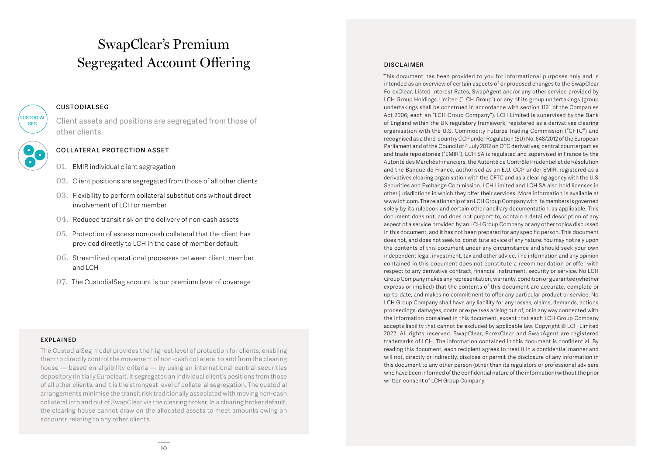## SwapClear's Premium Segregated Account Offering

#### **CUSTODIALSEG**

Client assets and positions are segregated from those of other clients.



**CUSTODIAL SEG**

#### **COLLATERAL PROTECTION ASSET**

- 01. EMIR individual client segregation
- 02. Client positions are segregated from those of all other clients
- 03. Flexibility to perform collateral substitutions without direct involvement of LCH or member
- 04. Reduced transit risk on the delivery of non-cash assets
- 05. Protection of excess non-cash collateral that the client has provided directly to LCH in the case of member default
- 06. Streamlined operational processes between client, member and LCH
- 07. The CustodialSeg account is our premium level of coverage

#### **EXPLAINED**

The CustodialSeg model provides the highest level of protection for clients, enabling them to directly control the movement of non-cash collateral to and from the clearing house — based on eligibility criteria — by using an international central securities depository (initially Euroclear). It segregates an individual client's positions from those of all other clients, and it is the strongest level of collateral segregation. The custodial arrangements minimise the transit risk traditionally associated with moving non-cash collateral into and out of SwapClear via the clearing broker. In a clearing broker default, the clearing house cannot draw on the allocated assets to meet amounts owing on accounts relating to any other clients.

#### **DISCLAIMER**

This document has been provided to you for informational purposes only and is intended as an overview of certain aspects of or proposed changes to the SwapClear, ForexClear, Listed Interest Rates, SwapAgent and/or any other service provided by LCH Group Holdings Limited ("LCH Group") or any of its group undertakings (group undertakings shall be construed in accordance with section 1161 of the Companies Act 2006; each an "LCH Group Company"). LCH Limited is supervised by the Bank of England within the UK regulatory framework, registered as a derivatives clearing organisation with the U.S. Commodity Futures Trading Commission ("CFTC") and recognised as a third-country CCP under Regulation (EU) No. 648/2012 of the European Parliament and of the Council of 4 July 2012 on OTC derivatives, central counterparties and trade repositories ("EMIR"). LCH SA is regulated and supervised in France by the Autorité des Marchés Financiers, the Autorité de Contrôle Prudentiel et de Résolution and the Banque de France, authorised as an E.U. CCP under EMIR, registered as a derivatives clearing organisation with the CFTC and as a clearing agency with the U.S. Securities and Exchange Commission. LCH Limited and LCH SA also hold licenses in other jurisdictions in which they offer their services. More information is available at www.lch.com. The relationship of an LCH Group Company with its members is governed solely by its rulebook and certain other ancillary documentation, as applicable. This document does not, and does not purport to, contain a detailed description of any aspect of a service provided by an LCH Group Company or any other topics discussed in this document, and it has not been prepared for any specific person. This document does not, and does not seek to, constitute advice of any nature. You may not rely upon the contents of this document under any circumstance and should seek your own independent legal, investment, tax and other advice. The information and any opinion contained in this document does not constitute a recommendation or offer with respect to any derivative contract, financial instrument, security or service. No LCH Group Company makes any representation, warranty, condition or guarantee (whether express or implied) that the contents of this document are accurate, complete or up-to-date, and makes no commitment to offer any particular product or service. No LCH Group Company shall have any liability for any losses, claims, demands, actions, proceedings, damages, costs or expenses arising out of, or in any way connected with, the information contained in this document, except that each LCH Group Company accepts liability that cannot be excluded by applicable law. Copyright © LCH Limited 2022. All rights reserved. SwapClear, ForexClear and SwapAgent are registered trademarks of LCH. The information contained in this document is confidential. By reading this document, each recipient agrees to treat it in a confidential manner and will not, directly or indirectly, disclose or permit the disclosure of any information in this document to any other person (other than its regulators or professional advisers who have been informed of the confidential nature of the information) without the prior written consent of LCH Group Company.